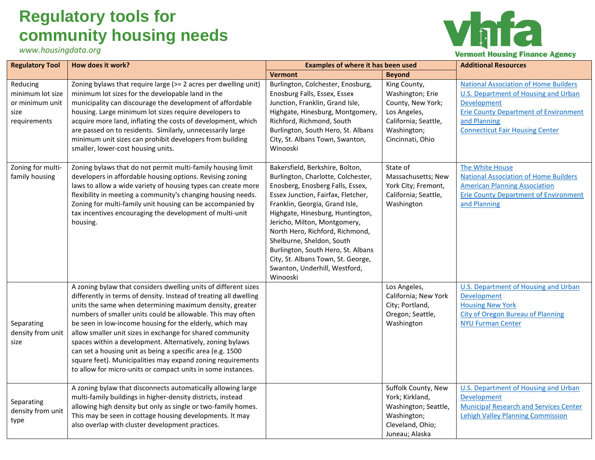## **Regulatory tools for community housing needs**

*www.housingdata.org*



| <b>Regulatory Tool</b>                                                  | How does it work?                                                                                                                                                                                                                                                                                                                                                                                                                                                                                                                                                                                                                                  | <b>Examples of where it has been used</b>                                                                                                                                                                                                                                                                                                                                                                                                      |                                                                                                                                  | <b>Additional Resources</b>                                                                                                                                                                                          |
|-------------------------------------------------------------------------|----------------------------------------------------------------------------------------------------------------------------------------------------------------------------------------------------------------------------------------------------------------------------------------------------------------------------------------------------------------------------------------------------------------------------------------------------------------------------------------------------------------------------------------------------------------------------------------------------------------------------------------------------|------------------------------------------------------------------------------------------------------------------------------------------------------------------------------------------------------------------------------------------------------------------------------------------------------------------------------------------------------------------------------------------------------------------------------------------------|----------------------------------------------------------------------------------------------------------------------------------|----------------------------------------------------------------------------------------------------------------------------------------------------------------------------------------------------------------------|
|                                                                         |                                                                                                                                                                                                                                                                                                                                                                                                                                                                                                                                                                                                                                                    | <b>Vermont</b>                                                                                                                                                                                                                                                                                                                                                                                                                                 | <b>Beyond</b>                                                                                                                    |                                                                                                                                                                                                                      |
| Reducing<br>minimum lot size<br>or minimum unit<br>size<br>requirements | Zoning bylaws that require large (>= 2 acres per dwelling unit)<br>minimum lot sizes for the developable land in the<br>municipality can discourage the development of affordable<br>housing. Large minimum lot sizes require developers to<br>acquire more land, inflating the costs of development, which<br>are passed on to residents. Similarly, unnecessarily large<br>minimum unit sizes can prohibit developers from building<br>smaller, lower-cost housing units.                                                                                                                                                                        | Burlington, Colchester, Enosburg,<br>Enosburg Falls, Essex, Essex<br>Junction, Franklin, Grand Isle,<br>Highgate, Hinesburg, Montgomery,<br>Richford, Richmond, South<br>Burlington, South Hero, St. Albans<br>City, St. Albans Town, Swanton,<br>Winooski                                                                                                                                                                                     | King County,<br>Washington; Erie<br>County, New York;<br>Los Angeles,<br>California; Seattle,<br>Washington;<br>Cincinnati, Ohio | <b>National Association of Home Builders</b><br><b>U.S. Department of Housing and Urban</b><br>Development<br><b>Erie County Department of Environment</b><br>and Planning<br><b>Connecticut Fair Housing Center</b> |
| Zoning for multi-<br>family housing                                     | Zoning bylaws that do not permit multi-family housing limit<br>developers in affordable housing options. Revising zoning<br>laws to allow a wide variety of housing types can create more<br>flexibility in meeting a community's changing housing needs.<br>Zoning for multi-family unit housing can be accompanied by<br>tax incentives encouraging the development of multi-unit<br>housing.                                                                                                                                                                                                                                                    | Bakersfield, Berkshire, Bolton,<br>Burlington, Charlotte, Colchester,<br>Enosberg, Enosberg Falls, Essex,<br>Essex Junction, Fairfax, Fletcher,<br>Franklin, Georgia, Grand Isle,<br>Highgate, Hinesburg, Huntington,<br>Jericho, Milton, Montgomery,<br>North Hero, Richford, Richmond,<br>Shelburne, Sheldon, South<br>Burlington, South Hero, St. Albans<br>City, St. Albans Town, St. George,<br>Swanton, Underhill, Westford,<br>Winooski | State of<br>Massachusetts; New<br>York City; Fremont,<br>California; Seattle,<br>Washington                                      | The White House<br><b>National Association of Home Builders</b><br><b>American Planning Association</b><br><b>Erie County Department of Environment</b><br>and Planning                                              |
| Separating<br>density from unit<br>size                                 | A zoning bylaw that considers dwelling units of different sizes<br>differently in terms of density. Instead of treating all dwelling<br>units the same when determining maximum density, greater<br>numbers of smaller units could be allowable. This may often<br>be seen in low-income housing for the elderly, which may<br>allow smaller unit sizes in exchange for shared community<br>spaces within a development. Alternatively, zoning bylaws<br>can set a housing unit as being a specific area (e.g. 1500<br>square feet). Municipalities may expand zoning requirements<br>to allow for micro-units or compact units in some instances. |                                                                                                                                                                                                                                                                                                                                                                                                                                                | Los Angeles,<br>California; New York<br>City; Portland,<br>Oregon; Seattle,<br>Washington                                        | U.S. Department of Housing and Urban<br>Development<br><b>Housing New York</b><br><b>City of Oregon Bureau of Planning</b><br><b>NYU Furman Center</b>                                                               |
| Separating<br>density from unit<br>type                                 | A zoning bylaw that disconnects automatically allowing large<br>multi-family buildings in higher-density districts, instead<br>allowing high density but only as single or two-family homes.<br>This may be seen in cottage housing developments. It may<br>also overlap with cluster development practices.                                                                                                                                                                                                                                                                                                                                       |                                                                                                                                                                                                                                                                                                                                                                                                                                                | Suffolk County, New<br>York; Kirkland,<br>Washington; Seattle,<br>Washington;<br>Cleveland, Ohio;<br>Juneau; Alaska              | <b>U.S. Department of Housing and Urban</b><br>Development<br><b>Municipal Research and Services Center</b><br><b>Lehigh Valley Planning Commission</b>                                                              |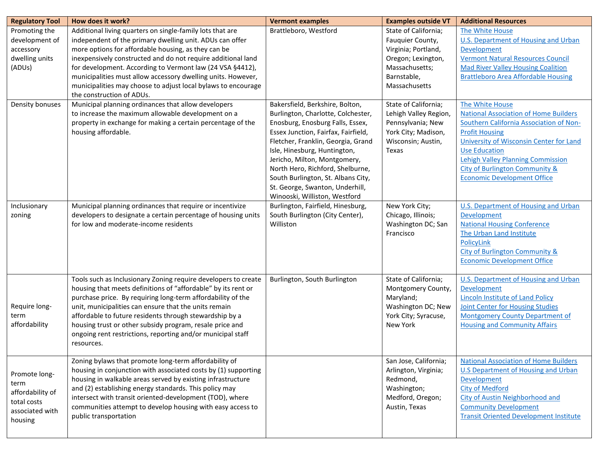| <b>Regulatory Tool</b>                                                                 | How does it work?                                                                                                                                                                                                                                                                                                                                                                                                                                                       | <b>Vermont examples</b>                                                                                                                                                                                                                                                                                                                                                                              | <b>Examples outside VT</b>                                                                                                              | <b>Additional Resources</b>                                                                                                                                                                                                                                                                                                |
|----------------------------------------------------------------------------------------|-------------------------------------------------------------------------------------------------------------------------------------------------------------------------------------------------------------------------------------------------------------------------------------------------------------------------------------------------------------------------------------------------------------------------------------------------------------------------|------------------------------------------------------------------------------------------------------------------------------------------------------------------------------------------------------------------------------------------------------------------------------------------------------------------------------------------------------------------------------------------------------|-----------------------------------------------------------------------------------------------------------------------------------------|----------------------------------------------------------------------------------------------------------------------------------------------------------------------------------------------------------------------------------------------------------------------------------------------------------------------------|
| Promoting the<br>development of<br>accessory<br>dwelling units<br>(ADUs)               | Additional living quarters on single-family lots that are<br>independent of the primary dwelling unit. ADUs can offer<br>more options for affordable housing, as they can be<br>inexpensively constructed and do not require additional land<br>for development. According to Vermont law (24 VSA §4412),<br>municipalities must allow accessory dwelling units. However,<br>municipalities may choose to adjust local bylaws to encourage<br>the construction of ADUs. | Brattleboro, Westford                                                                                                                                                                                                                                                                                                                                                                                | State of California;<br>Fauquier County,<br>Virginia; Portland,<br>Oregon; Lexington,<br>Massachusetts;<br>Barnstable,<br>Massachusetts | The White House<br><b>U.S. Department of Housing and Urban</b><br>Development<br><b>Vermont Natural Resources Council</b><br><b>Mad River Valley Housing Coalition</b><br><b>Brattleboro Area Affordable Housing</b>                                                                                                       |
| Density bonuses                                                                        | Municipal planning ordinances that allow developers<br>to increase the maximum allowable development on a<br>property in exchange for making a certain percentage of the<br>housing affordable.                                                                                                                                                                                                                                                                         | Bakersfield, Berkshire, Bolton,<br>Burlington, Charlotte, Colchester,<br>Enosburg, Enosburg Falls, Essex,<br>Essex Junction, Fairfax, Fairfield,<br>Fletcher, Franklin, Georgia, Grand<br>Isle, Hinesburg, Huntington,<br>Jericho, Milton, Montgomery,<br>North Hero, Richford, Shelburne,<br>South Burlington, St. Albans City,<br>St. George, Swanton, Underhill,<br>Winooski, Williston, Westford | State of California;<br>Lehigh Valley Region,<br>Pennsylvania; New<br>York City; Madison,<br>Wisconsin; Austin,<br>Texas                | The White House<br><b>National Association of Home Builders</b><br>Southern California Association of Non-<br><b>Profit Housing</b><br>University of Wisconsin Center for Land<br><b>Use Education</b><br><b>Lehigh Valley Planning Commission</b><br>City of Burlington Community &<br><b>Economic Development Office</b> |
| Inclusionary<br>zoning                                                                 | Municipal planning ordinances that require or incentivize<br>developers to designate a certain percentage of housing units<br>for low and moderate-income residents                                                                                                                                                                                                                                                                                                     | Burlington, Fairfield, Hinesburg,<br>South Burlington (City Center),<br>Williston                                                                                                                                                                                                                                                                                                                    | New York City;<br>Chicago, Illinois;<br>Washington DC; San<br>Francisco                                                                 | <b>U.S. Department of Housing and Urban</b><br>Development<br><b>National Housing Conference</b><br>The Urban Land Institute<br>PolicyLink<br>City of Burlington Community &<br><b>Economic Development Office</b>                                                                                                         |
| Require long-<br>term<br>affordability                                                 | Tools such as Inclusionary Zoning require developers to create<br>housing that meets definitions of "affordable" by its rent or<br>purchase price. By requiring long-term affordability of the<br>unit, municipalities can ensure that the units remain<br>affordable to future residents through stewardship by a<br>housing trust or other subsidy program, resale price and<br>ongoing rent restrictions, reporting and/or municipal staff<br>resources.             | Burlington, South Burlington                                                                                                                                                                                                                                                                                                                                                                         | State of California;<br>Montgomery County,<br>Maryland;<br>Washington DC; New<br>York City; Syracuse,<br>New York                       | <b>U.S. Department of Housing and Urban</b><br>Development<br><b>Lincoln Institute of Land Policy</b><br><b>Joint Center for Housing Studies</b><br>Montgomery County Department of<br><b>Housing and Community Affairs</b>                                                                                                |
| Promote long-<br>term<br>affordability of<br>total costs<br>associated with<br>housing | Zoning bylaws that promote long-term affordability of<br>housing in conjunction with associated costs by (1) supporting<br>housing in walkable areas served by existing infrastructure<br>and (2) establishing energy standards. This policy may<br>intersect with transit oriented-development (TOD), where<br>communities attempt to develop housing with easy access to<br>public transportation                                                                     |                                                                                                                                                                                                                                                                                                                                                                                                      | San Jose, California;<br>Arlington, Virginia;<br>Redmond,<br>Washington;<br>Medford, Oregon;<br>Austin, Texas                           | <b>National Association of Home Builders</b><br><b>U.S Department of Housing and Urban</b><br>Development<br><b>City of Medford</b><br>City of Austin Neighborhood and<br><b>Community Development</b><br><b>Transit Oriented Development Institute</b>                                                                    |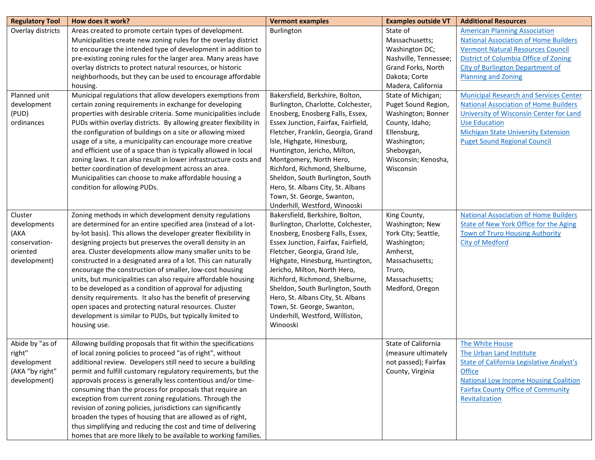| <b>Regulatory Tool</b> | How does it work?                                                 | <b>Vermont examples</b>             | <b>Examples outside VT</b> | <b>Additional Resources</b>                      |
|------------------------|-------------------------------------------------------------------|-------------------------------------|----------------------------|--------------------------------------------------|
| Overlay districts      | Areas created to promote certain types of development.            | Burlington                          | State of                   | <b>American Planning Association</b>             |
|                        | Municipalities create new zoning rules for the overlay district   |                                     | Massachusetts;             | <b>National Association of Home Builders</b>     |
|                        | to encourage the intended type of development in addition to      |                                     | Washington DC;             | <b>Vermont Natural Resources Council</b>         |
|                        | pre-existing zoning rules for the larger area. Many areas have    |                                     | Nashville, Tennessee;      | District of Columbia Office of Zoning            |
|                        | overlay districts to protect natural resources, or historic       |                                     | Grand Forks, North         | <b>City of Burlington Department of</b>          |
|                        | neighborhoods, but they can be used to encourage affordable       |                                     | Dakota; Corte              | <b>Planning and Zoning</b>                       |
|                        | housing.                                                          |                                     | Madera, California         |                                                  |
| Planned unit           | Municipal regulations that allow developers exemptions from       | Bakersfield, Berkshire, Bolton,     | State of Michigan;         | <b>Municipal Research and Services Center</b>    |
| development            | certain zoning requirements in exchange for developing            | Burlington, Charlotte, Colchester,  | Puget Sound Region,        | <b>National Association of Home Builders</b>     |
| (PUD)                  | properties with desirable criteria. Some municipalities include   | Enosberg, Enosberg Falls, Essex,    | Washington; Bonner         | University of Wisconsin Center for Land          |
| ordinances             | PUDs within overlay districts. By allowing greater flexibility in | Essex Junction, Fairfax, Fairfield, | County, Idaho;             | <b>Use Education</b>                             |
|                        | the configuration of buildings on a site or allowing mixed        | Fletcher, Franklin, Georgia, Grand  | Ellensburg,                | <b>Michigan State University Extension</b>       |
|                        | usage of a site, a municipality can encourage more creative       | Isle, Highgate, Hinesburg,          | Washington;                | <b>Puget Sound Regional Council</b>              |
|                        | and efficient use of a space than is typically allowed in local   | Huntington, Jericho, Milton,        | Sheboygan,                 |                                                  |
|                        | zoning laws. It can also result in lower infrastructure costs and | Montgomery, North Hero,             | Wisconsin; Kenosha,        |                                                  |
|                        | better coordination of development across an area.                | Richford, Richmond, Shelburne,      | Wisconsin                  |                                                  |
|                        | Municipalities can choose to make affordable housing a            | Sheldon, South Burlington, South    |                            |                                                  |
|                        | condition for allowing PUDs.                                      | Hero, St. Albans City, St. Albans   |                            |                                                  |
|                        |                                                                   | Town, St. George, Swanton,          |                            |                                                  |
|                        |                                                                   | Underhill, Westford, Winooski       |                            |                                                  |
| Cluster                | Zoning methods in which development density regulations           | Bakersfield, Berkshire, Bolton,     | King County,               | <b>National Association of Home Builders</b>     |
| developments           | are determined for an entire specified area (instead of a lot-    | Burlington, Charlotte, Colchester,  | Washington; New            | <b>State of New York Office for the Aging</b>    |
| (AKA                   | by-lot basis). This allows the developer greater flexibility in   | Enosberg, Enosberg Falls, Essex,    | York City; Seattle,        | <b>Town of Truro Housing Authority</b>           |
| conservation-          | designing projects but preserves the overall density in an        | Essex Junction, Fairfax, Fairfield, | Washington;                | <b>City of Medford</b>                           |
| oriented               | area. Cluster developments allow many smaller units to be         | Fletcher, Georgia, Grand Isle,      | Amherst,                   |                                                  |
| development)           | constructed in a designated area of a lot. This can naturally     | Highgate, Hinesburg, Huntington,    | Massachusetts;             |                                                  |
|                        | encourage the construction of smaller, low-cost housing           | Jericho, Milton, North Hero,        | Truro,                     |                                                  |
|                        | units, but municipalities can also require affordable housing     | Richford, Richmond, Shelburne,      | Massachusetts;             |                                                  |
|                        | to be developed as a condition of approval for adjusting          | Sheldon, South Burlington, South    | Medford, Oregon            |                                                  |
|                        | density requirements. It also has the benefit of preserving       | Hero, St. Albans City, St. Albans   |                            |                                                  |
|                        | open spaces and protecting natural resources. Cluster             | Town, St. George, Swanton,          |                            |                                                  |
|                        | development is similar to PUDs, but typically limited to          | Underhill, Westford, Williston,     |                            |                                                  |
|                        | housing use.                                                      | Winooski                            |                            |                                                  |
|                        |                                                                   |                                     |                            |                                                  |
| Abide by "as of        | Allowing building proposals that fit within the specifications    |                                     | State of California        | The White House                                  |
| right"                 | of local zoning policies to proceed "as of right", without        |                                     | (measure ultimately        | The Urban Land Institute                         |
| development            | additional review. Developers still need to secure a building     |                                     | not passed); Fairfax       | <b>State of California Legislative Analyst's</b> |
| (AKA "by right"        | permit and fulfill customary regulatory requirements, but the     |                                     | County, Virginia           | <b>Office</b>                                    |
| development)           | approvals process is generally less contentious and/or time-      |                                     |                            | <b>National Low Income Housing Coalition</b>     |
|                        | consuming than the process for proposals that require an          |                                     |                            | <b>Fairfax County Office of Community</b>        |
|                        | exception from current zoning regulations. Through the            |                                     |                            | Revitalization                                   |
|                        | revision of zoning policies, jurisdictions can significantly      |                                     |                            |                                                  |
|                        | broaden the types of housing that are allowed as of right,        |                                     |                            |                                                  |
|                        | thus simplifying and reducing the cost and time of delivering     |                                     |                            |                                                  |
|                        | homes that are more likely to be available to working families.   |                                     |                            |                                                  |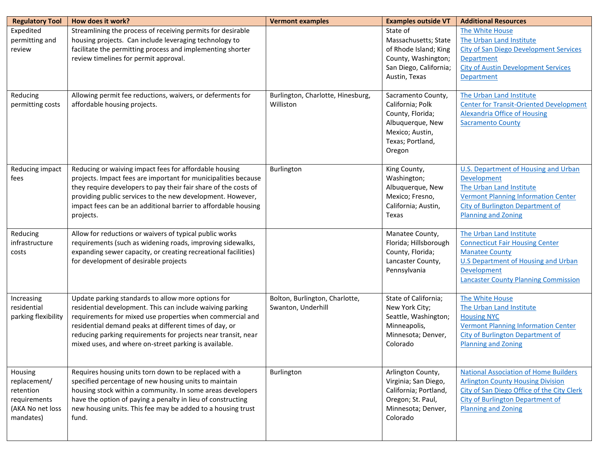| <b>Regulatory Tool</b>                                                                | How does it work?                                                                                                                                                                                                                                                                                                                                                | <b>Vermont examples</b>                              | <b>Examples outside VT</b>                                                                                                      | <b>Additional Resources</b>                                                                                                                                                                                   |
|---------------------------------------------------------------------------------------|------------------------------------------------------------------------------------------------------------------------------------------------------------------------------------------------------------------------------------------------------------------------------------------------------------------------------------------------------------------|------------------------------------------------------|---------------------------------------------------------------------------------------------------------------------------------|---------------------------------------------------------------------------------------------------------------------------------------------------------------------------------------------------------------|
| Expedited<br>permitting and<br>review                                                 | Streamlining the process of receiving permits for desirable<br>housing projects. Can include leveraging technology to<br>facilitate the permitting process and implementing shorter<br>review timelines for permit approval.                                                                                                                                     |                                                      | State of<br>Massachusetts; State<br>of Rhode Island; King<br>County, Washington;<br>San Diego, California;<br>Austin, Texas     | The White House<br>The Urban Land Institute<br><b>City of San Diego Development Services</b><br>Department<br><b>City of Austin Development Services</b><br><b>Department</b>                                 |
| Reducing<br>permitting costs                                                          | Allowing permit fee reductions, waivers, or deferments for<br>affordable housing projects.                                                                                                                                                                                                                                                                       | Burlington, Charlotte, Hinesburg,<br>Williston       | Sacramento County,<br>California; Polk<br>County, Florida;<br>Albuquerque, New<br>Mexico; Austin,<br>Texas; Portland,<br>Oregon | The Urban Land Institute<br><b>Center for Transit-Oriented Development</b><br><b>Alexandria Office of Housing</b><br><b>Sacramento County</b>                                                                 |
| Reducing impact<br>fees                                                               | Reducing or waiving impact fees for affordable housing<br>projects. Impact fees are important for municipalities because<br>they require developers to pay their fair share of the costs of<br>providing public services to the new development. However,<br>impact fees can be an additional barrier to affordable housing<br>projects.                         | Burlington                                           | King County,<br>Washington;<br>Albuquerque, New<br>Mexico; Fresno,<br>California; Austin,<br>Texas                              | <b>U.S. Department of Housing and Urban</b><br><b>Development</b><br>The Urban Land Institute<br><b>Vermont Planning Information Center</b><br>City of Burlington Department of<br><b>Planning and Zoning</b> |
| Reducing<br>infrastructure<br>costs                                                   | Allow for reductions or waivers of typical public works<br>requirements (such as widening roads, improving sidewalks,<br>expanding sewer capacity, or creating recreational facilities)<br>for development of desirable projects                                                                                                                                 |                                                      | Manatee County,<br>Florida; Hillsborough<br>County, Florida;<br>Lancaster County,<br>Pennsylvania                               | The Urban Land Institute<br><b>Connecticut Fair Housing Center</b><br><b>Manatee County</b><br><b>U.S Department of Housing and Urban</b><br>Development<br><b>Lancaster County Planning Commission</b>       |
| Increasing<br>residential<br>parking flexibility                                      | Update parking standards to allow more options for<br>residential development. This can include waiving parking<br>requirements for mixed use properties when commercial and<br>residential demand peaks at different times of day, or<br>reducing parking requirements for projects near transit, near<br>mixed uses, and where on-street parking is available. | Bolton, Burlington, Charlotte,<br>Swanton, Underhill | State of California;<br>New York City;<br>Seattle, Washington;<br>Minneapolis,<br>Minnesota; Denver,<br>Colorado                | The White House<br>The Urban Land Institute<br><b>Housing NYC</b><br><b>Vermont Planning Information Center</b><br><b>City of Burlington Department of</b><br><b>Planning and Zoning</b>                      |
| Housing<br>replacement/<br>retention<br>requirements<br>(AKA No net loss<br>mandates) | Requires housing units torn down to be replaced with a<br>specified percentage of new housing units to maintain<br>housing stock within a community. In some areas developers<br>have the option of paying a penalty in lieu of constructing<br>new housing units. This fee may be added to a housing trust<br>fund.                                             | Burlington                                           | Arlington County,<br>Virginia; San Diego,<br>California; Portland,<br>Oregon; St. Paul,<br>Minnesota; Denver,<br>Colorado       | <b>National Association of Home Builders</b><br><b>Arlington County Housing Division</b><br>City of San Diego Office of the City Clerk<br>City of Burlington Department of<br><b>Planning and Zoning</b>      |